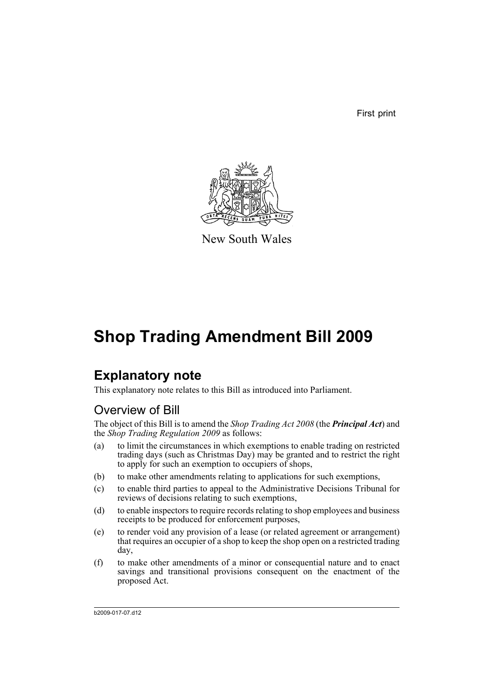First print



New South Wales

# **Shop Trading Amendment Bill 2009**

# **Explanatory note**

This explanatory note relates to this Bill as introduced into Parliament.

## Overview of Bill

The object of this Bill is to amend the *Shop Trading Act 2008* (the *Principal Act*) and the *Shop Trading Regulation 2009* as follows:

- (a) to limit the circumstances in which exemptions to enable trading on restricted trading days (such as Christmas Day) may be granted and to restrict the right to apply for such an exemption to occupiers of shops,
- (b) to make other amendments relating to applications for such exemptions,
- (c) to enable third parties to appeal to the Administrative Decisions Tribunal for reviews of decisions relating to such exemptions,
- (d) to enable inspectors to require records relating to shop employees and business receipts to be produced for enforcement purposes,
- (e) to render void any provision of a lease (or related agreement or arrangement) that requires an occupier of a shop to keep the shop open on a restricted trading day,
- (f) to make other amendments of a minor or consequential nature and to enact savings and transitional provisions consequent on the enactment of the proposed Act.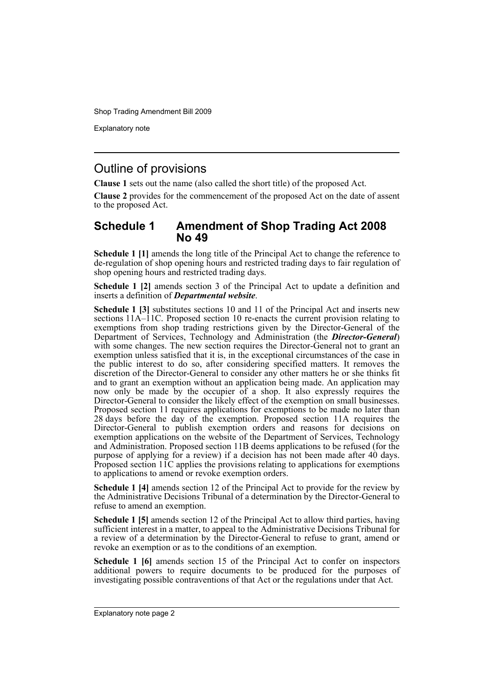Explanatory note

### Outline of provisions

**Clause 1** sets out the name (also called the short title) of the proposed Act.

**Clause 2** provides for the commencement of the proposed Act on the date of assent to the proposed Act.

### **Schedule 1 Amendment of Shop Trading Act 2008 No 49**

**Schedule 1 [1]** amends the long title of the Principal Act to change the reference to de-regulation of shop opening hours and restricted trading days to fair regulation of shop opening hours and restricted trading days.

**Schedule 1 [2]** amends section 3 of the Principal Act to update a definition and inserts a definition of *Departmental website*.

**Schedule 1 [3]** substitutes sections 10 and 11 of the Principal Act and inserts new sections 11A–11C. Proposed section 10 re-enacts the current provision relating to exemptions from shop trading restrictions given by the Director-General of the Department of Services, Technology and Administration (the *Director-General*) with some changes. The new section requires the Director-General not to grant an exemption unless satisfied that it is, in the exceptional circumstances of the case in the public interest to do so, after considering specified matters. It removes the discretion of the Director-General to consider any other matters he or she thinks fit and to grant an exemption without an application being made. An application may now only be made by the occupier of a shop. It also expressly requires the Director-General to consider the likely effect of the exemption on small businesses. Proposed section 11 requires applications for exemptions to be made no later than 28 days before the day of the exemption. Proposed section 11A requires the Director-General to publish exemption orders and reasons for decisions on exemption applications on the website of the Department of Services, Technology and Administration. Proposed section 11B deems applications to be refused (for the purpose of applying for a review) if a decision has not been made after  $40$  days. Proposed section 11C applies the provisions relating to applications for exemptions to applications to amend or revoke exemption orders.

**Schedule 1 [4]** amends section 12 of the Principal Act to provide for the review by the Administrative Decisions Tribunal of a determination by the Director-General to refuse to amend an exemption.

**Schedule 1 [5]** amends section 12 of the Principal Act to allow third parties, having sufficient interest in a matter, to appeal to the Administrative Decisions Tribunal for a review of a determination by the Director-General to refuse to grant, amend or revoke an exemption or as to the conditions of an exemption.

**Schedule 1 [6]** amends section 15 of the Principal Act to confer on inspectors additional powers to require documents to be produced for the purposes of investigating possible contraventions of that Act or the regulations under that Act.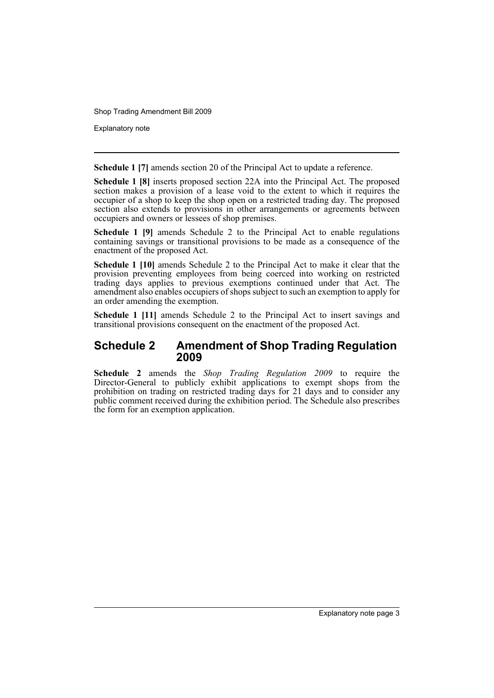Explanatory note

**Schedule 1 [7]** amends section 20 of the Principal Act to update a reference.

**Schedule 1 [8]** inserts proposed section 22A into the Principal Act. The proposed section makes a provision of a lease void to the extent to which it requires the occupier of a shop to keep the shop open on a restricted trading day. The proposed section also extends to provisions in other arrangements or agreements between occupiers and owners or lessees of shop premises.

**Schedule 1 [9]** amends Schedule 2 to the Principal Act to enable regulations containing savings or transitional provisions to be made as a consequence of the enactment of the proposed Act.

**Schedule 1 [10]** amends Schedule 2 to the Principal Act to make it clear that the provision preventing employees from being coerced into working on restricted trading days applies to previous exemptions continued under that Act. The amendment also enables occupiers of shops subject to such an exemption to apply for an order amending the exemption.

**Schedule 1 [11]** amends Schedule 2 to the Principal Act to insert savings and transitional provisions consequent on the enactment of the proposed Act.

### **Schedule 2 Amendment of Shop Trading Regulation 2009**

**Schedule 2** amends the *Shop Trading Regulation 2009* to require the Director-General to publicly exhibit applications to exempt shops from the prohibition on trading on restricted trading days for 21 days and to consider any public comment received during the exhibition period. The Schedule also prescribes the form for an exemption application.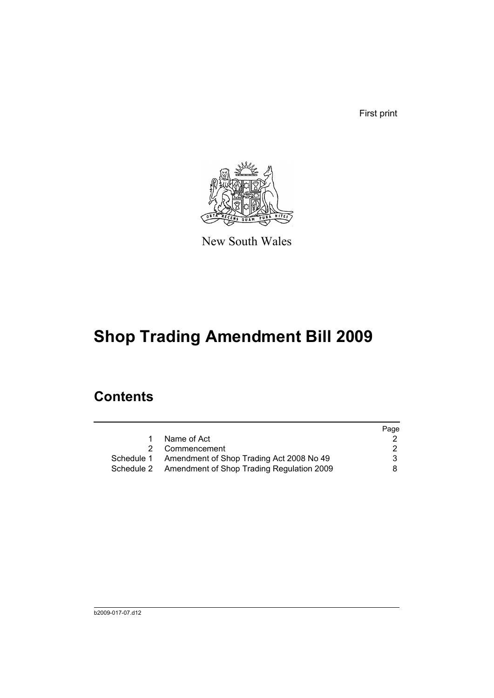First print



New South Wales

# **Shop Trading Amendment Bill 2009**

## **Contents**

|                                                      | Page |
|------------------------------------------------------|------|
| Name of Act                                          |      |
| 2 Commencement                                       | 2    |
| Schedule 1 Amendment of Shop Trading Act 2008 No 49  | 3    |
| Schedule 2 Amendment of Shop Trading Regulation 2009 | 8.   |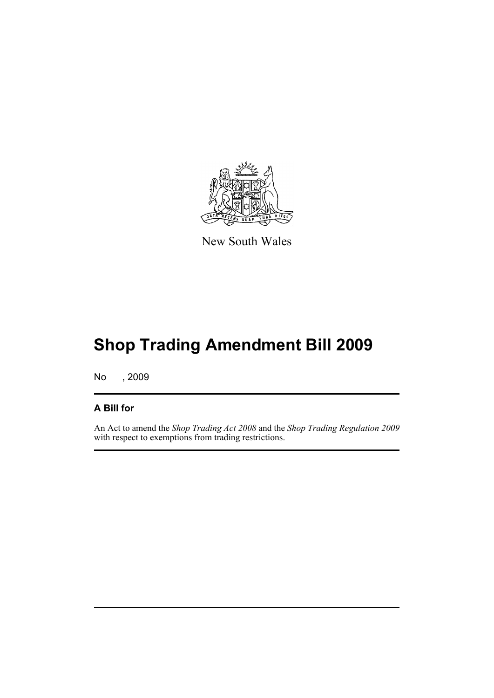

New South Wales

# **Shop Trading Amendment Bill 2009**

No , 2009

### **A Bill for**

An Act to amend the *Shop Trading Act 2008* and the *Shop Trading Regulation 2009* with respect to exemptions from trading restrictions.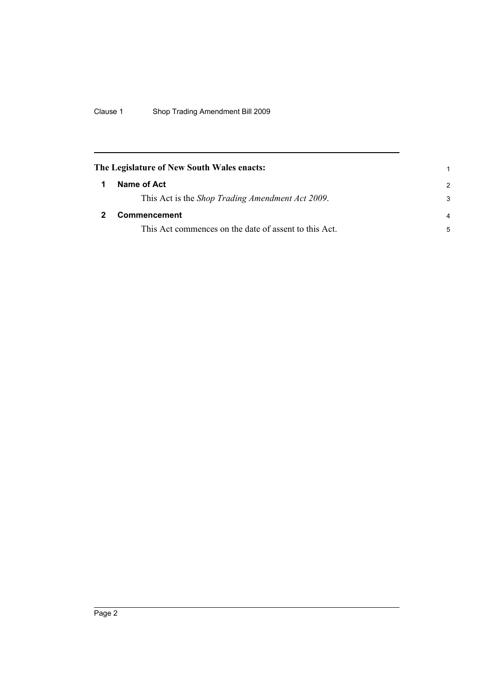<span id="page-7-1"></span><span id="page-7-0"></span>

| The Legislature of New South Wales enacts: |                                                       |                |
|--------------------------------------------|-------------------------------------------------------|----------------|
|                                            | Name of Act                                           | $\mathcal{P}$  |
|                                            | This Act is the Shop Trading Amendment Act 2009.      | 3              |
|                                            | <b>Commencement</b>                                   | $\overline{a}$ |
|                                            | This Act commences on the date of assent to this Act. | 5              |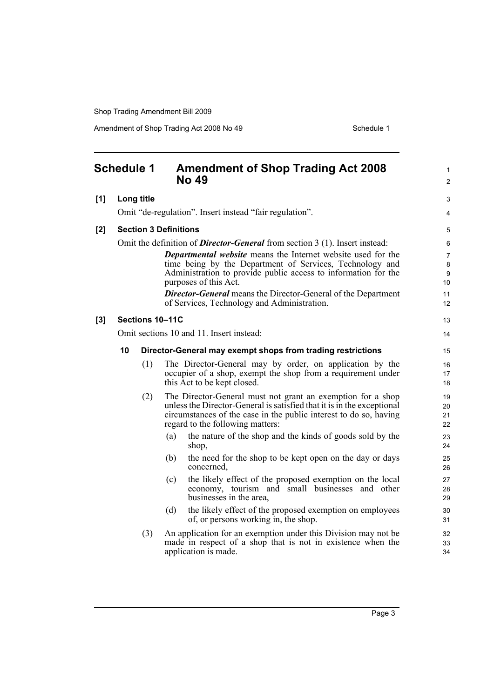Amendment of Shop Trading Act 2008 No 49 Schedule 1

<span id="page-8-0"></span>

|     | <b>Schedule 1</b> |                              |     | <b>Amendment of Shop Trading Act 2008</b><br><b>No 49</b>                                             | 1<br>$\overline{2}$ |
|-----|-------------------|------------------------------|-----|-------------------------------------------------------------------------------------------------------|---------------------|
| [1] |                   | Long title                   |     |                                                                                                       | 3                   |
|     |                   |                              |     | Omit "de-regulation". Insert instead "fair regulation".                                               | 4                   |
| [2] |                   | <b>Section 3 Definitions</b> |     |                                                                                                       | 5                   |
|     |                   |                              |     | Omit the definition of <i>Director-General</i> from section 3 (1). Insert instead:                    | 6                   |
|     |                   |                              |     | <b>Departmental website</b> means the Internet website used for the                                   | $\overline{7}$      |
|     |                   |                              |     | time being by the Department of Services, Technology and                                              | 8                   |
|     |                   |                              |     | Administration to provide public access to information for the                                        | 9                   |
|     |                   |                              |     | purposes of this Act.                                                                                 | 10 <sup>°</sup>     |
|     |                   |                              |     | <b>Director-General</b> means the Director-General of the Department                                  | 11                  |
|     |                   |                              |     | of Services, Technology and Administration.                                                           | 12 <sup>°</sup>     |
| [3] |                   | Sections 10-11C              |     |                                                                                                       | 13                  |
|     |                   |                              |     | Omit sections 10 and 11. Insert instead:                                                              | 14                  |
|     | 10                |                              |     | Director-General may exempt shops from trading restrictions                                           | 15                  |
|     |                   | (1)                          |     | The Director-General may by order, on application by the                                              | 16                  |
|     |                   |                              |     | occupier of a shop, exempt the shop from a requirement under                                          | 17                  |
|     |                   |                              |     | this Act to be kept closed.                                                                           | 18                  |
|     |                   | (2)                          |     | The Director-General must not grant an exemption for a shop                                           | 19                  |
|     |                   |                              |     | unless the Director-General is satisfied that it is in the exceptional                                | 20                  |
|     |                   |                              |     | circumstances of the case in the public interest to do so, having<br>regard to the following matters: | 21<br>22            |
|     |                   |                              | (a) | the nature of the shop and the kinds of goods sold by the                                             |                     |
|     |                   |                              |     | shop,                                                                                                 | 23<br>24            |
|     |                   |                              | (b) | the need for the shop to be kept open on the day or days                                              | 25                  |
|     |                   |                              |     | concerned.                                                                                            | 26                  |
|     |                   |                              | (c) | the likely effect of the proposed exemption on the local                                              | 27                  |
|     |                   |                              |     | economy, tourism and small businesses and other                                                       | 28                  |
|     |                   |                              |     | businesses in the area,                                                                               | 29                  |
|     |                   |                              | (d) | the likely effect of the proposed exemption on employees<br>of, or persons working in, the shop.      | 30<br>31            |
|     |                   | (3)                          |     | An application for an exemption under this Division may not be                                        | 32                  |
|     |                   |                              |     | made in respect of a shop that is not in existence when the                                           | 33                  |
|     |                   |                              |     | application is made.                                                                                  | 34                  |

Page 3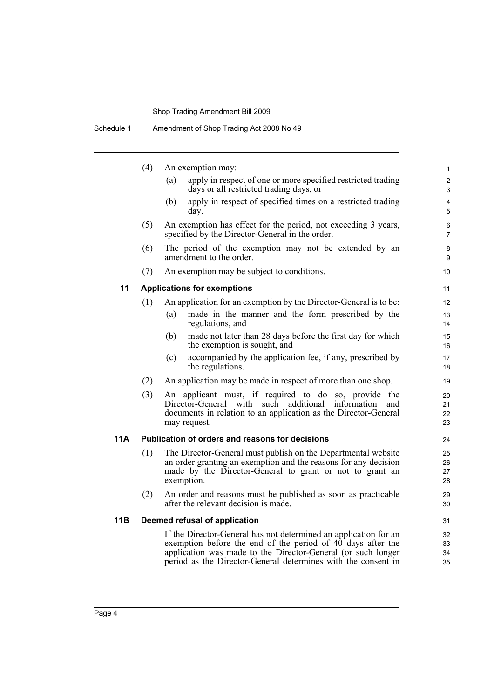|     | (4) | An exemption may:                                                                                                                                                                                                                                                          | $\mathbf{1}$                     |
|-----|-----|----------------------------------------------------------------------------------------------------------------------------------------------------------------------------------------------------------------------------------------------------------------------------|----------------------------------|
|     |     | apply in respect of one or more specified restricted trading<br>(a)<br>days or all restricted trading days, or                                                                                                                                                             | $\overline{2}$<br>$\mathfrak{S}$ |
|     |     | apply in respect of specified times on a restricted trading<br>(b)<br>day.                                                                                                                                                                                                 | $\overline{4}$<br>5              |
|     | (5) | An exemption has effect for the period, not exceeding 3 years,<br>specified by the Director-General in the order.                                                                                                                                                          | 6<br>$\overline{7}$              |
|     | (6) | The period of the exemption may not be extended by an<br>amendment to the order.                                                                                                                                                                                           | 8<br>9                           |
|     | (7) | An exemption may be subject to conditions.                                                                                                                                                                                                                                 | 10                               |
| 11  |     | <b>Applications for exemptions</b>                                                                                                                                                                                                                                         | 11                               |
|     | (1) | An application for an exemption by the Director-General is to be:                                                                                                                                                                                                          | 12                               |
|     |     | made in the manner and the form prescribed by the<br>(a)<br>regulations, and                                                                                                                                                                                               | 13<br>14                         |
|     |     | made not later than 28 days before the first day for which<br>(b)<br>the exemption is sought, and                                                                                                                                                                          | 15<br>16                         |
|     |     | accompanied by the application fee, if any, prescribed by<br>(c)<br>the regulations.                                                                                                                                                                                       | 17<br>18                         |
|     | (2) | An application may be made in respect of more than one shop.                                                                                                                                                                                                               | 19                               |
|     | (3) | An applicant must, if required to do<br>so, provide the<br>such additional<br>Director-General with<br>information<br>and<br>documents in relation to an application as the Director-General<br>may request.                                                               | 20<br>21<br>22<br>23             |
| 11A |     | Publication of orders and reasons for decisions                                                                                                                                                                                                                            | 24                               |
|     | (1) | The Director-General must publish on the Departmental website<br>an order granting an exemption and the reasons for any decision<br>made by the Director-General to grant or not to grant an<br>exemption.                                                                 | 25<br>26<br>27<br>28             |
|     | (2) | An order and reasons must be published as soon as practicable<br>after the relevant decision is made.                                                                                                                                                                      | 29<br>30                         |
| 11B |     | Deemed refusal of application                                                                                                                                                                                                                                              | 31                               |
|     |     | If the Director-General has not determined an application for an<br>exemption before the end of the period of $40^{\circ}$ days after the<br>application was made to the Director-General (or such longer<br>period as the Director-General determines with the consent in | 32<br>33<br>34<br>35             |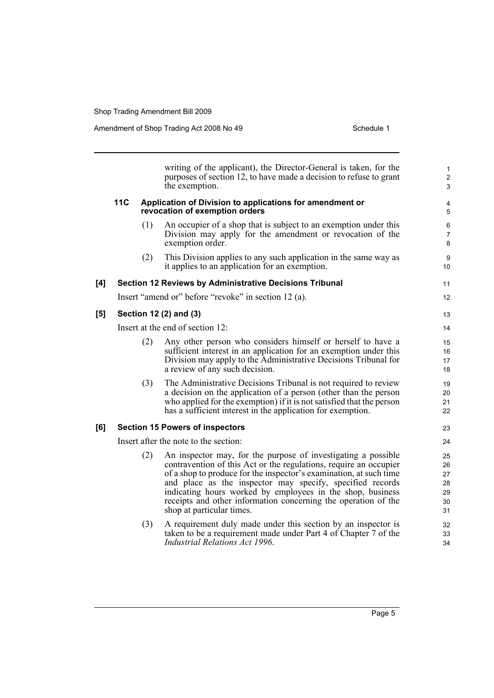$[5]$ 

|     |     |     | writing of the applicant), the Director-General is taken, for the<br>purposes of section 12, to have made a decision to refuse to grant<br>the exemption.                                                                                                                                                                                                                                                                          | $\mathbf{1}$<br>$\overline{c}$<br>3        |
|-----|-----|-----|------------------------------------------------------------------------------------------------------------------------------------------------------------------------------------------------------------------------------------------------------------------------------------------------------------------------------------------------------------------------------------------------------------------------------------|--------------------------------------------|
|     | 11C |     | Application of Division to applications for amendment or<br>revocation of exemption orders                                                                                                                                                                                                                                                                                                                                         | 4<br>5                                     |
|     |     | (1) | An occupier of a shop that is subject to an exemption under this<br>Division may apply for the amendment or revocation of the<br>exemption order.                                                                                                                                                                                                                                                                                  | 6<br>$\overline{7}$<br>8                   |
|     |     | (2) | This Division applies to any such application in the same way as<br>it applies to an application for an exemption.                                                                                                                                                                                                                                                                                                                 | 9<br>10                                    |
| [4] |     |     | Section 12 Reviews by Administrative Decisions Tribunal                                                                                                                                                                                                                                                                                                                                                                            | 11                                         |
|     |     |     | Insert "amend or" before "revoke" in section 12 (a).                                                                                                                                                                                                                                                                                                                                                                               | 12                                         |
| [5] |     |     | Section 12 (2) and (3)                                                                                                                                                                                                                                                                                                                                                                                                             | 13                                         |
|     |     |     | Insert at the end of section 12:                                                                                                                                                                                                                                                                                                                                                                                                   | 14                                         |
|     |     | (2) | Any other person who considers himself or herself to have a<br>sufficient interest in an application for an exemption under this<br>Division may apply to the Administrative Decisions Tribunal for<br>a review of any such decision.                                                                                                                                                                                              | 15<br>16<br>17<br>18                       |
|     |     | (3) | The Administrative Decisions Tribunal is not required to review<br>a decision on the application of a person (other than the person<br>who applied for the exemption) if it is not satisfied that the person<br>has a sufficient interest in the application for exemption.                                                                                                                                                        | 19<br>20<br>21<br>22                       |
| [6] |     |     | <b>Section 15 Powers of inspectors</b>                                                                                                                                                                                                                                                                                                                                                                                             | 23                                         |
|     |     |     | Insert after the note to the section:                                                                                                                                                                                                                                                                                                                                                                                              | 24                                         |
|     |     | (2) | An inspector may, for the purpose of investigating a possible<br>contravention of this Act or the regulations, require an occupier<br>of a shop to produce for the inspector's examination, at such time<br>and place as the inspector may specify, specified records<br>indicating hours worked by employees in the shop, business<br>receipts and other information concerning the operation of the<br>shop at particular times. | 25<br>26<br>27<br>28<br>29<br>$30\,$<br>31 |
|     |     | (3) | A requirement duly made under this section by an inspector is<br>taken to be a requirement made under Part 4 of Chapter 7 of the<br><b>Industrial Relations Act 1996.</b>                                                                                                                                                                                                                                                          | 32<br>33<br>34                             |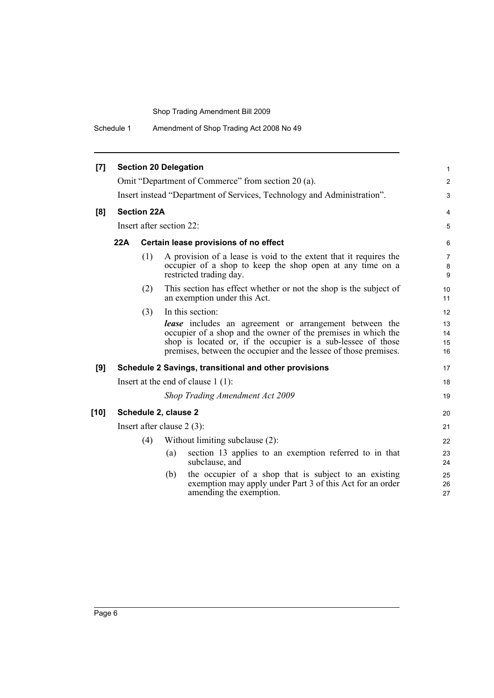Schedule 1 Amendment of Shop Trading Act 2008 No 49

| [7]    |            | <b>Section 20 Delegation</b> |     |                                                                                                                                                                                                                                                                    | $\mathbf{1}$             |
|--------|------------|------------------------------|-----|--------------------------------------------------------------------------------------------------------------------------------------------------------------------------------------------------------------------------------------------------------------------|--------------------------|
|        |            |                              |     | Omit "Department of Commerce" from section 20 (a).                                                                                                                                                                                                                 | $\overline{2}$           |
|        |            |                              |     | Insert instead "Department of Services, Technology and Administration".                                                                                                                                                                                            | 3                        |
| [8]    |            | <b>Section 22A</b>           |     |                                                                                                                                                                                                                                                                    | 4                        |
|        |            | Insert after section 22:     |     |                                                                                                                                                                                                                                                                    | 5                        |
|        | <b>22A</b> |                              |     | Certain lease provisions of no effect                                                                                                                                                                                                                              | 6                        |
|        |            | (1)                          |     | A provision of a lease is void to the extent that it requires the<br>occupier of a shop to keep the shop open at any time on a<br>restricted trading day.                                                                                                          | $\overline{7}$<br>8<br>9 |
|        |            | (2)                          |     | This section has effect whether or not the shop is the subject of<br>an exemption under this Act.                                                                                                                                                                  | 10<br>11                 |
|        |            | (3)                          |     | In this section:                                                                                                                                                                                                                                                   | 12                       |
|        |            |                              |     | <b>lease</b> includes an agreement or arrangement between the<br>occupier of a shop and the owner of the premises in which the<br>shop is located or, if the occupier is a sub-lessee of those<br>premises, between the occupier and the lessee of those premises. | 13<br>14<br>15<br>16     |
| [9]    |            |                              |     | Schedule 2 Savings, transitional and other provisions                                                                                                                                                                                                              | 17                       |
|        |            |                              |     | Insert at the end of clause $1(1)$ :                                                                                                                                                                                                                               | 18                       |
|        |            |                              |     | Shop Trading Amendment Act 2009                                                                                                                                                                                                                                    | 19                       |
| $[10]$ |            | Schedule 2, clause 2         |     |                                                                                                                                                                                                                                                                    | 20                       |
|        |            |                              |     | Insert after clause $2(3)$ :                                                                                                                                                                                                                                       | 21                       |
|        |            | (4)                          |     | Without limiting subclause (2):                                                                                                                                                                                                                                    | 22                       |
|        |            |                              | (a) | section 13 applies to an exemption referred to in that<br>subclause, and                                                                                                                                                                                           | 23<br>24                 |
|        |            |                              | (b) | the occupier of a shop that is subject to an existing<br>exemption may apply under Part 3 of this Act for an order<br>amending the exemption.                                                                                                                      | 25<br>26<br>27           |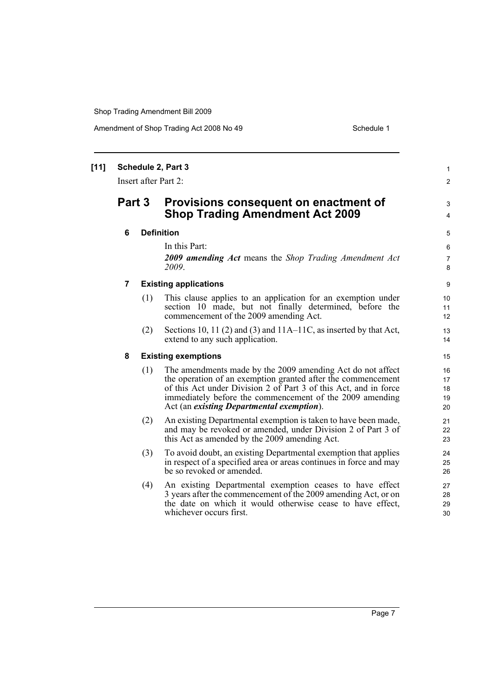Amendment of Shop Trading Act 2008 No 49 Schedule 1

|   |     |                                                                                                                                                                                                                                                                                                         | $\mathbf{1}$<br>$\mathbf{2}$                                                                                                  |
|---|-----|---------------------------------------------------------------------------------------------------------------------------------------------------------------------------------------------------------------------------------------------------------------------------------------------------------|-------------------------------------------------------------------------------------------------------------------------------|
|   |     | Provisions consequent on enactment of<br><b>Shop Trading Amendment Act 2009</b>                                                                                                                                                                                                                         | 3<br>$\overline{4}$                                                                                                           |
| 6 |     |                                                                                                                                                                                                                                                                                                         | 5                                                                                                                             |
|   |     | In this Part:<br>2009 amending Act means the Shop Trading Amendment Act<br>2009.                                                                                                                                                                                                                        | 6<br>$\overline{7}$<br>8                                                                                                      |
| 7 |     |                                                                                                                                                                                                                                                                                                         | 9                                                                                                                             |
|   | (1) | This clause applies to an application for an exemption under<br>section 10 made, but not finally determined, before the<br>commencement of the 2009 amending Act.                                                                                                                                       | 10<br>11<br>12                                                                                                                |
|   | (2) | Sections 10, 11 (2) and (3) and $11A-11C$ , as inserted by that Act,<br>extend to any such application.                                                                                                                                                                                                 | 13<br>14                                                                                                                      |
| 8 |     |                                                                                                                                                                                                                                                                                                         | 15                                                                                                                            |
|   | (1) | The amendments made by the 2009 amending Act do not affect<br>the operation of an exemption granted after the commencement<br>of this Act under Division 2 of Part 3 of this Act, and in force<br>immediately before the commencement of the 2009 amending<br>Act (an existing Departmental exemption). | 16<br>17<br>18<br>19<br>20                                                                                                    |
|   | (2) | An existing Departmental exemption is taken to have been made,<br>and may be revoked or amended, under Division 2 of Part 3 of<br>this Act as amended by the 2009 amending Act.                                                                                                                         | 21<br>22<br>23                                                                                                                |
|   | (3) | To avoid doubt, an existing Departmental exemption that applies<br>in respect of a specified area or areas continues in force and may<br>be so revoked or amended.                                                                                                                                      | 24<br>25<br>26                                                                                                                |
|   | (4) | An existing Departmental exemption ceases to have effect<br>3 years after the commencement of the 2009 amending Act, or on<br>the date on which it would otherwise cease to have effect,<br>whichever occurs first.                                                                                     | 27<br>28<br>29<br>30                                                                                                          |
|   |     | Part 3                                                                                                                                                                                                                                                                                                  | Schedule 2, Part 3<br>Insert after Part 2:<br><b>Definition</b><br><b>Existing applications</b><br><b>Existing exemptions</b> |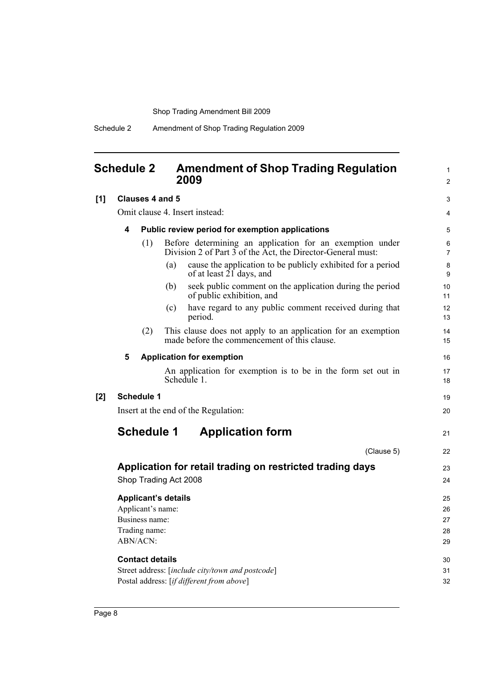### <span id="page-13-0"></span>**Schedule 2 Amendment of Shop Trading Regulation 2009**

1 2

| [1] |                                                  | Clauses 4 and 5                                 |                                                                                                                         | 3                     |  |  |
|-----|--------------------------------------------------|-------------------------------------------------|-------------------------------------------------------------------------------------------------------------------------|-----------------------|--|--|
|     |                                                  |                                                 | Omit clause 4. Insert instead:                                                                                          | 4                     |  |  |
|     | 4                                                | Public review period for exemption applications |                                                                                                                         |                       |  |  |
|     |                                                  | (1)                                             | Before determining an application for an exemption under<br>Division 2 of Part 3 of the Act, the Director-General must: | 6<br>$\overline{7}$   |  |  |
|     |                                                  |                                                 | cause the application to be publicly exhibited for a period<br>(a)<br>of at least $2\overline{1}$ days, and             | 8<br>9                |  |  |
|     |                                                  |                                                 | seek public comment on the application during the period<br>(b)<br>of public exhibition, and                            | 10 <sup>1</sup><br>11 |  |  |
|     |                                                  |                                                 | have regard to any public comment received during that<br>(c)<br>period.                                                | 12 <sup>2</sup><br>13 |  |  |
|     |                                                  | (2)                                             | This clause does not apply to an application for an exemption<br>made before the commencement of this clause.           | 14<br>15              |  |  |
|     | 5                                                |                                                 | <b>Application for exemption</b>                                                                                        | 16                    |  |  |
|     |                                                  |                                                 | An application for exemption is to be in the form set out in<br>Schedule 1.                                             | 17<br>18              |  |  |
| [2] |                                                  | <b>Schedule 1</b>                               |                                                                                                                         | 19                    |  |  |
|     |                                                  |                                                 | Insert at the end of the Regulation:                                                                                    | 20                    |  |  |
|     |                                                  | <b>Schedule 1</b>                               | <b>Application form</b>                                                                                                 | 21                    |  |  |
|     |                                                  |                                                 | (Clause 5)                                                                                                              | 22                    |  |  |
|     |                                                  |                                                 | Application for retail trading on restricted trading days                                                               | 23                    |  |  |
|     |                                                  |                                                 | Shop Trading Act 2008                                                                                                   | 24                    |  |  |
|     |                                                  |                                                 | <b>Applicant's details</b>                                                                                              | 25                    |  |  |
|     |                                                  | Applicant's name:                               |                                                                                                                         | 26                    |  |  |
|     |                                                  | Business name:                                  |                                                                                                                         | 27<br>28              |  |  |
|     | Trading name:<br>ABN/ACN:                        |                                                 |                                                                                                                         |                       |  |  |
|     |                                                  | <b>Contact details</b>                          |                                                                                                                         | 30                    |  |  |
|     | Street address: [include city/town and postcode] |                                                 |                                                                                                                         |                       |  |  |
|     |                                                  |                                                 | Postal address: [if different from above]                                                                               | 32                    |  |  |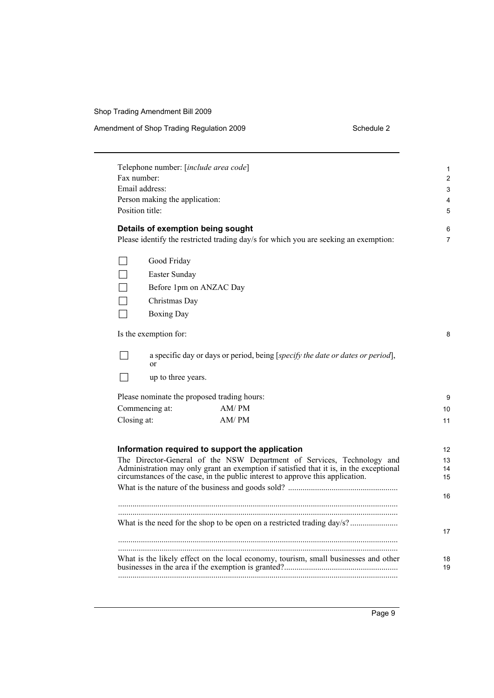#### Amendment of Shop Trading Regulation 2009 Schedule 2

| Telephone number: [include area code]<br>Fax number:<br>Email address:<br>Person making the application:<br>Position title:                                                                                                                                                                                                   | 1<br>2<br>3<br>4<br>5            |
|-------------------------------------------------------------------------------------------------------------------------------------------------------------------------------------------------------------------------------------------------------------------------------------------------------------------------------|----------------------------------|
| Details of exemption being sought<br>Please identify the restricted trading day/s for which you are seeking an exemption:                                                                                                                                                                                                     | 6<br>7                           |
| Good Friday<br>Easter Sunday<br>Before 1pm on ANZAC Day<br>Christmas Day<br><b>Boxing Day</b>                                                                                                                                                                                                                                 |                                  |
| Is the exemption for:                                                                                                                                                                                                                                                                                                         | 8                                |
| a specific day or days or period, being [specify the date or dates or period],<br>or<br>up to three years.<br>Please nominate the proposed trading hours:<br>Commencing at:<br>AM/PM                                                                                                                                          | 9<br>10                          |
| AM/PM<br>Closing at:<br>Information required to support the application<br>The Director-General of the NSW Department of Services, Technology and<br>Administration may only grant an exemption if satisfied that it is, in the exceptional<br>circumstances of the case, in the public interest to approve this application. | 11<br>12<br>13<br>14<br>15<br>16 |
|                                                                                                                                                                                                                                                                                                                               | 17                               |
| What is the likely effect on the local economy, tourism, small businesses and other                                                                                                                                                                                                                                           | 18<br>19                         |